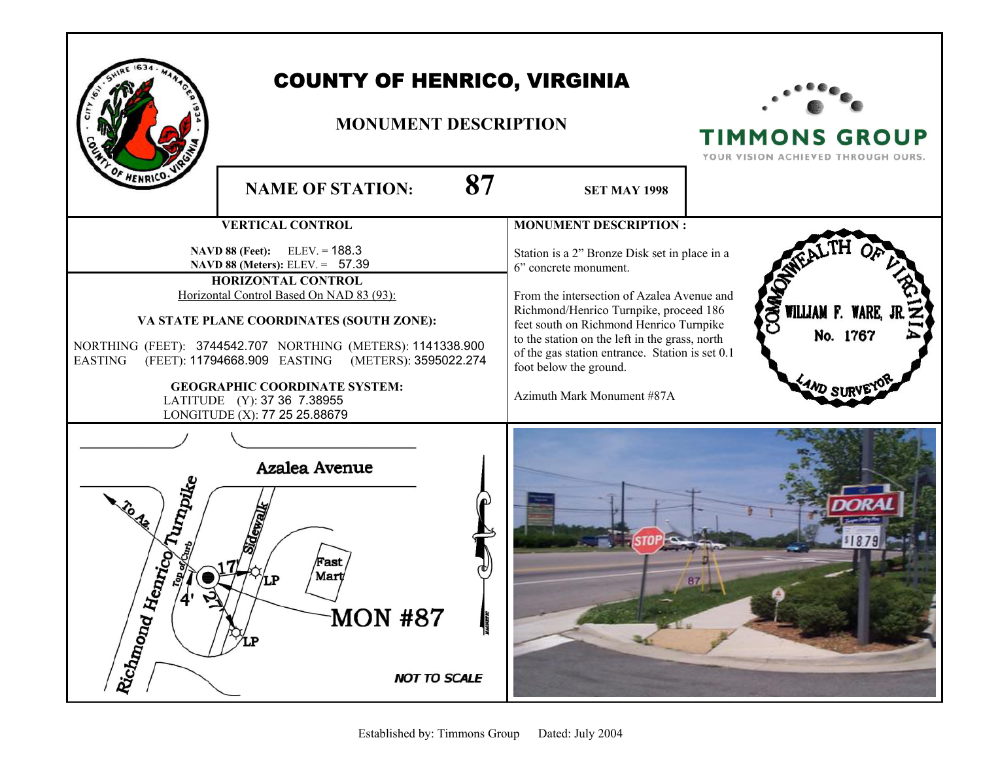|                                                     | <b>COUNTY OF HENRICO, VIRGINIA</b><br><b>MONUMENT DESCRIPTION</b>                                                                                                                                                                                                                                                                                                                                                     |                                                                                                                                                                                                                                                                                                                                                                        | <b>TIMMONS GROUP</b><br>YOUR VISION ACHIEVED THROUGH OURS. |
|-----------------------------------------------------|-----------------------------------------------------------------------------------------------------------------------------------------------------------------------------------------------------------------------------------------------------------------------------------------------------------------------------------------------------------------------------------------------------------------------|------------------------------------------------------------------------------------------------------------------------------------------------------------------------------------------------------------------------------------------------------------------------------------------------------------------------------------------------------------------------|------------------------------------------------------------|
| F HENRICO.                                          | 87<br><b>NAME OF STATION:</b>                                                                                                                                                                                                                                                                                                                                                                                         | <b>SET MAY 1998</b>                                                                                                                                                                                                                                                                                                                                                    |                                                            |
|                                                     | <b>VERTICAL CONTROL</b>                                                                                                                                                                                                                                                                                                                                                                                               | <b>MONUMENT DESCRIPTION:</b>                                                                                                                                                                                                                                                                                                                                           |                                                            |
| <b>EASTING</b>                                      | <b>NAVD 88 (Feet):</b> ELEV. = 188.3<br>NAVD 88 (Meters): ELEV. = 57.39<br>HORIZONTAL CONTROL<br>Horizontal Control Based On NAD 83 (93):<br>VA STATE PLANE COORDINATES (SOUTH ZONE):<br>NORTHING (FEET): 3744542.707 NORTHING (METERS): 1141338.900<br>(FEET): 11794668.909 EASTING<br>(METERS): 3595022.274<br><b>GEOGRAPHIC COORDINATE SYSTEM:</b><br>LATITUDE (Y): 37 36 7.38955<br>LONGITUDE (X): 77 25 25.88679 | Station is a 2" Bronze Disk set in place in a<br>6" concrete monument.<br>From the intersection of Azalea Avenue and<br>Richmond/Henrico Turnpike, proceed 186<br>feet south on Richmond Henrico Turnpike<br>to the station on the left in the grass, north<br>of the gas station entrance. Station is set 0.1<br>foot below the ground.<br>Azimuth Mark Monument #87A | <b>COMMO</b><br>WILLIAM F. WARE,<br>No. 1767               |
| Turnpike<br>હ<br><b>Antico</b><br>Richnond Hey<br>4 | Azalea Avenue<br>Sidewall<br>Fast<br>Mart<br><b>MON #87</b><br><b>NOT TO SCALE</b>                                                                                                                                                                                                                                                                                                                                    |                                                                                                                                                                                                                                                                                                                                                                        | 187.<br>87                                                 |